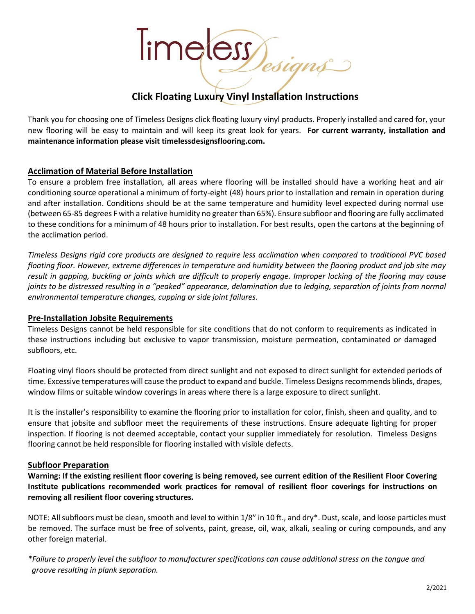

# **Click Floating Luxury Vinyl Installation Instructions**

Thank you for choosing one of Timeless Designs click floating luxury vinyl products. Properly installed and cared for, your new flooring will be easy to maintain and will keep its great look for years. **For current warranty, installation and maintenance information please visit timelessdesignsflooring.com.**

#### **Acclimation of Material Before Installation**

To ensure a problem free installation, all areas where flooring will be installed should have a working heat and air conditioning source operational a minimum of forty-eight (48) hours prior to installation and remain in operation during and after installation. Conditions should be at the same temperature and humidity level expected during normal use (between 65-85 degrees F with a relative humidity no greater than 65%). Ensure subfloor and flooring are fully acclimated to these conditions for a minimum of 48 hours prior to installation. For best results, open the cartons at the beginning of the acclimation period.

*Timeless Designs rigid core products are designed to require less acclimation when compared to traditional PVC based floating floor. However, extreme differences in temperature and humidity between the flooring product and job site may result in gapping, buckling or joints which are difficult to properly engage. Improper locking of the flooring may cause joints to be distressed resulting in a "peaked" appearance, delamination due to ledging, separation of joints from normal environmental temperature changes, cupping or side joint failures.*

#### **Pre-Installation Jobsite Requirements**

Timeless Designs cannot be held responsible for site conditions that do not conform to requirements as indicated in these instructions including but exclusive to vapor transmission, moisture permeation, contaminated or damaged subfloors, etc.

Floating vinyl floors should be protected from direct sunlight and not exposed to direct sunlight for extended periods of time. Excessive temperatures will cause the product to expand and buckle. Timeless Designs recommends blinds, drapes, window films or suitable window coverings in areas where there is a large exposure to direct sunlight.

It is the installer's responsibility to examine the flooring prior to installation for color, finish, sheen and quality, and to ensure that jobsite and subfloor meet the requirements of these instructions. Ensure adequate lighting for proper inspection. If flooring is not deemed acceptable, contact your supplier immediately for resolution. Timeless Designs flooring cannot be held responsible for flooring installed with visible defects.

#### **Subfloor Preparation**

**Warning: If the existing resilient floor covering is being removed, see current edition of the Resilient Floor Covering Institute publications recommended work practices for removal of resilient floor coverings for instructions on removing all resilient floor covering structures.**

NOTE: All subfloors must be clean, smooth and level to within 1/8" in 10 ft., and dry\*. Dust, scale, and loose particles must be removed. The surface must be free of solvents, paint, grease, oil, wax, alkali, sealing or curing compounds, and any other foreign material.

*\*Failure to properly level the subfloor to manufacturer specifications can cause additional stress on the tongue and groove resulting in plank separation.*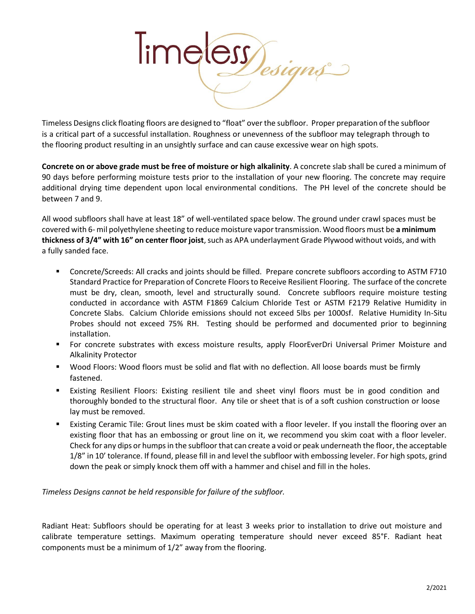

Timeless Designs click floating floors are designed to "float" over the subfloor. Proper preparation of the subfloor is a critical part of a successful installation. Roughness or unevenness of the subfloor may telegraph through to the flooring product resulting in an unsightly surface and can cause excessive wear on high spots.

**Concrete on or above grade must be free of moisture or high alkalinity**. A concrete slab shall be cured a minimum of 90 days before performing moisture tests prior to the installation of your new flooring. The concrete may require additional drying time dependent upon local environmental conditions. The PH level of the concrete should be between 7 and 9.

All wood subfloors shall have at least 18" of well-ventilated space below. The ground under crawl spaces must be covered with 6- mil polyethylene sheeting to reduce moisture vapor transmission. Wood floors must be **a minimum thickness of 3/4" with 16" on center floor joist**, such as APA underlayment Grade Plywood without voids, and with a fully sanded face.

- Concrete/Screeds: All cracks and joints should be filled. Prepare concrete subfloors according to ASTM F710 Standard Practice for Preparation of Concrete Floors to Receive Resilient Flooring. The surface of the concrete must be dry, clean, smooth, level and structurally sound. Concrete subfloors require moisture testing conducted in accordance with ASTM F1869 Calcium Chloride Test or ASTM F2179 Relative Humidity in Concrete Slabs. Calcium Chloride emissions should not exceed 5lbs per 1000sf. Relative Humidity In-Situ Probes should not exceed 75% RH. Testing should be performed and documented prior to beginning installation.
- For concrete substrates with excess moisture results, apply FloorEverDri Universal Primer Moisture and Alkalinity Protector
- Wood Floors: Wood floors must be solid and flat with no deflection. All loose boards must be firmly fastened.
- Existing Resilient Floors: Existing resilient tile and sheet vinyl floors must be in good condition and thoroughly bonded to the structural floor. Any tile or sheet that is of a soft cushion construction or loose lay must be removed.
- Existing Ceramic Tile: Grout lines must be skim coated with a floor leveler. If you install the flooring over an existing floor that has an embossing or grout line on it, we recommend you skim coat with a floor leveler. Check for any dips or humps in the subfloor that can create a void or peak underneath the floor, the acceptable 1/8" in 10' tolerance. If found, please fill in and level the subfloor with embossing leveler. For high spots, grind down the peak or simply knock them off with a hammer and chisel and fill in the holes.

*Timeless Designs cannot be held responsible for failure of the subfloor.*

Radiant Heat: Subfloors should be operating for at least 3 weeks prior to installation to drive out moisture and calibrate temperature settings. Maximum operating temperature should never exceed 85°F. Radiant heat components must be a minimum of 1/2" away from the flooring.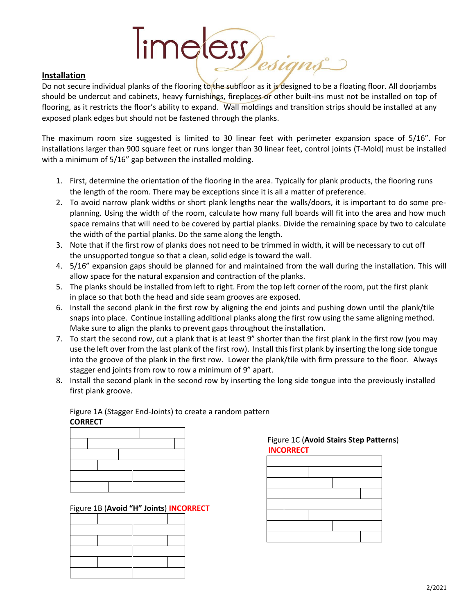# Installation<br>Do not secure individual planks of the flooring to the subfloor as it is designed to be a floating floor. All doorjambs

#### **Installation**

should be undercut and cabinets, heavy furnishings, fireplaces or other built-ins must not be installed on top of flooring, as it restricts the floor's ability to expand. Wall moldings and transition strips should be installed at any exposed plank edges but should not be fastened through the planks.

The maximum room size suggested is limited to 30 linear feet with perimeter expansion space of 5/16". For installations larger than 900 square feet or runs longer than 30 linear feet, control joints (T-Mold) must be installed with a minimum of 5/16" gap between the installed molding.

- 1. First, determine the orientation of the flooring in the area. Typically for plank products, the flooring runs the length of the room. There may be exceptions since it is all a matter of preference.
- 2. To avoid narrow plank widths or short plank lengths near the walls/doors, it is important to do some preplanning. Using the width of the room, calculate how many full boards will fit into the area and how much space remains that will need to be covered by partial planks. Divide the remaining space by two to calculate the width of the partial planks. Do the same along the length.
- 3. Note that if the first row of planks does not need to be trimmed in width, it will be necessary to cut off the unsupported tongue so that a clean, solid edge is toward the wall.
- 4. 5/16" expansion gaps should be planned for and maintained from the wall during the installation. This will allow space for the natural expansion and contraction of the planks.
- 5. The planks should be installed from left to right. From the top left corner of the room, put the first plank in place so that both the head and side seam grooves are exposed.
- 6. Install the second plank in the first row by aligning the end joints and pushing down until the plank/tile snaps into place. Continue installing additional planks along the first row using the same aligning method. Make sure to align the planks to prevent gaps throughout the installation.
- 7. To start the second row, cut a plank that is at least 9" shorter than the first plank in the first row (you may use the left over from the last plank of the first row). Install this first plank by inserting the long side tongue into the groove of the plank in the first row. Lower the plank/tile with firm pressure to the floor. Always stagger end joints from row to row a minimum of 9" apart.
- 8. Install the second plank in the second row by inserting the long side tongue into the previously installed first plank groove.

Figure 1A (Stagger End-Joints) to create a random pattern **CORRECT**



Figure 1B (**Avoid "H" Joints**) **INCORRECT**





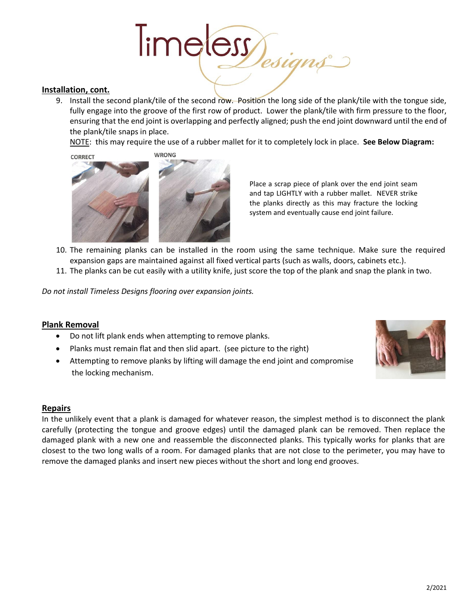# Time ess Jesigns

#### **Installation, cont.**

9. Install the second plank/tile of the second row. Position the long side of the plank/tile with the tongue side, fully engage into the groove of the first row of product. Lower the plank/tile with firm pressure to the floor, ensuring that the end joint is overlapping and perfectly aligned; push the end joint downward until the end of the plank/tile snaps in place.

NOTE: this may require the use of a rubber mallet for it to completely lock in place. **See Below Diagram:**



Place a scrap piece of plank over the end joint seam and tap LIGHTLY with a rubber mallet. NEVER strike the planks directly as this may fracture the locking system and eventually cause end joint failure.

- 10. The remaining planks can be installed in the room using the same technique. Make sure the required expansion gaps are maintained against all fixed vertical parts (such as walls, doors, cabinets etc.).
- 11. The planks can be cut easily with a utility knife, just score the top of the plank and snap the plank in two.

*Do not install Timeless Designs flooring over expansion joints.*

#### **Plank Removal**

- Do not lift plank ends when attempting to remove planks.
- Planks must remain flat and then slid apart. (see picture to the right)
- Attempting to remove planks by lifting will damage the end joint and compromise the locking mechanism.



#### **Repairs**

In the unlikely event that a plank is damaged for whatever reason, the simplest method is to disconnect the plank carefully (protecting the tongue and groove edges) until the damaged plank can be removed. Then replace the damaged plank with a new one and reassemble the disconnected planks. This typically works for planks that are closest to the two long walls of a room. For damaged planks that are not close to the perimeter, you may have to remove the damaged planks and insert new pieces without the short and long end grooves.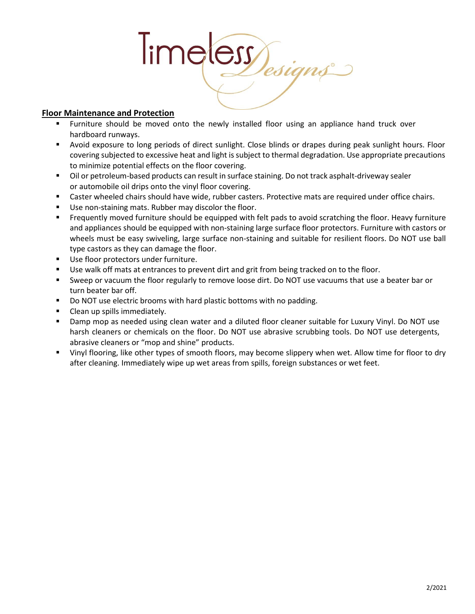

### **Floor Maintenance and Protection**

- **Furniture should be moved onto the newly installed floor using an appliance hand truck over** hardboard runways.
- Avoid exposure to long periods of direct sunlight. Close blinds or drapes during peak sunlight hours. Floor covering subjected to excessive heat and light is subject to thermal degradation. Use appropriate precautions to minimize potential effects on the floor covering.
- Oil or petroleum-based products can result in surface staining. Do not track asphalt-driveway sealer or automobile oil drips onto the vinyl floor covering.
- Caster wheeled chairs should have wide, rubber casters. Protective mats are required under office chairs.
- Use non-staining mats. Rubber may discolor the floor.
- Frequently moved furniture should be equipped with felt pads to avoid scratching the floor. Heavy furniture and appliances should be equipped with non-staining large surface floor protectors. Furniture with castors or wheels must be easy swiveling, large surface non-staining and suitable for resilient floors. Do NOT use ball type castors as they can damage the floor.
- Use floor protectors under furniture.
- Use walk off mats at entrances to prevent dirt and grit from being tracked on to the floor.
- Sweep or vacuum the floor regularly to remove loose dirt. Do NOT use vacuums that use a beater bar or turn beater bar off.
- Do NOT use electric brooms with hard plastic bottoms with no padding.
- Clean up spills immediately.
- Damp mop as needed using clean water and a diluted floor cleaner suitable for Luxury Vinyl. Do NOT use harsh cleaners or chemicals on the floor. Do NOT use abrasive scrubbing tools. Do NOT use detergents, abrasive cleaners or "mop and shine" products.
- Vinyl flooring, like other types of smooth floors, may become slippery when wet. Allow time for floor to dry after cleaning. Immediately wipe up wet areas from spills, foreign substances or wet feet.